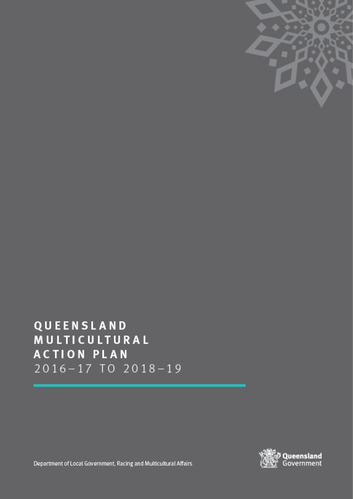

QUEENSLAND MULTICULTURAL **ACTION PLAN** 2016-17 TO 2018-19



Department of Local Government, Racing and Multicultural Affairs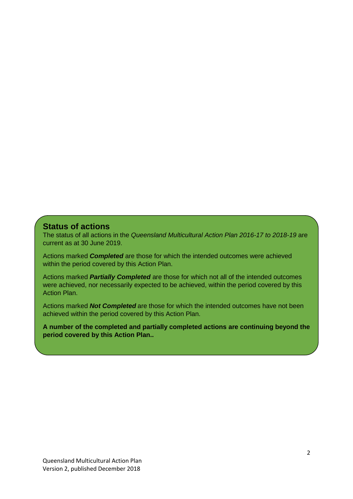#### **Status of actions**

The status of all actions in the *Queensland Multicultural Action Plan 2016-17 to 2018-19* are current as at 30 June 2019.

Actions marked *Completed* are those for which the intended outcomes were achieved within the period covered by this Action Plan.

Actions marked *Partially Completed* are those for which not all of the intended outcomes were achieved, nor necessarily expected to be achieved, within the period covered by this Action Plan.

Actions marked *Not Completed* are those for which the intended outcomes have not been achieved within the period covered by this Action Plan.

**A number of the completed and partially completed actions are continuing beyond the period covered by this Action Plan..**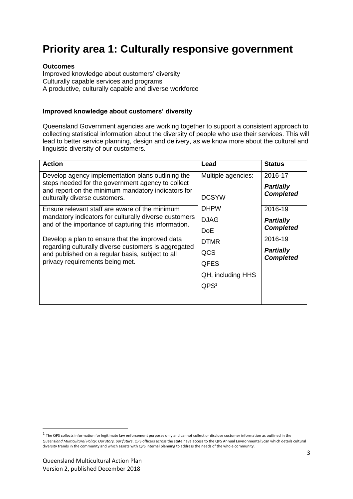## **Priority area 1: Culturally responsive government**

#### **Outcomes**

Improved knowledge about customers' diversity Culturally capable services and programs A productive, culturally capable and diverse workforce

#### **Improved knowledge about customers' diversity**

Queensland Government agencies are working together to support a consistent approach to collecting statistical information about the diversity of people who use their services. This will lead to better service planning, design and delivery, as we know more about the cultural and linguistic diversity of our customers.

| <b>Action</b>                                                                                                 | Lead               | <b>Status</b>                        |
|---------------------------------------------------------------------------------------------------------------|--------------------|--------------------------------------|
| Develop agency implementation plans outlining the                                                             | Multiple agencies: | 2016-17                              |
| steps needed for the government agency to collect<br>and report on the minimum mandatory indicators for       |                    | <b>Partially</b>                     |
| culturally diverse customers.                                                                                 | <b>DCSYW</b>       | <b>Completed</b>                     |
| Ensure relevant staff are aware of the minimum                                                                | <b>DHPW</b>        | 2016-19                              |
| mandatory indicators for culturally diverse customers<br>and of the importance of capturing this information. | <b>DJAG</b>        | <b>Partially</b>                     |
|                                                                                                               | <b>DoE</b>         | <b>Completed</b>                     |
| Develop a plan to ensure that the improved data                                                               | <b>DTMR</b>        | 2016-19                              |
| regarding culturally diverse customers is aggregated<br>and published on a regular basis, subject to all      | QCS                | <b>Partially</b><br><b>Completed</b> |
| privacy requirements being met.                                                                               | <b>QFES</b>        |                                      |
|                                                                                                               | QH, including HHS  |                                      |
|                                                                                                               | QPS <sup>1</sup>   |                                      |
|                                                                                                               |                    |                                      |

1

 $^1$  The QPS collects information for legitimate law enforcement purposes only and cannot collect or disclose customer information as outlined in the *Queensland Multicultural Policy: Our story, our future*. QPS officers across the state have access to the QPS Annual Environmental Scan which details cultural diversity trends in the community and which assists with QPS internal planning to address the needs of the whole community.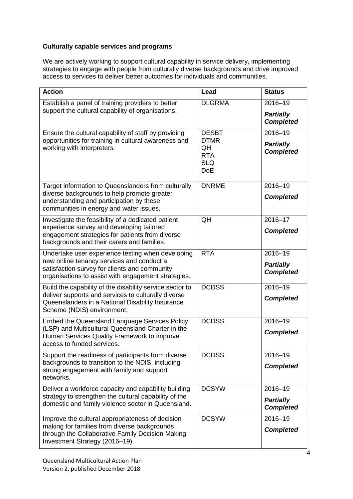#### **Culturally capable services and programs**

We are actively working to support cultural capability in service delivery, implementing strategies to engage with people from culturally diverse backgrounds and drive improved access to services to deliver better outcomes for individuals and communities.

| <b>Action</b>                                                                                                                                     | Lead                                                        | <b>Status</b>                        |
|---------------------------------------------------------------------------------------------------------------------------------------------------|-------------------------------------------------------------|--------------------------------------|
| Establish a panel of training providers to better                                                                                                 | <b>DLGRMA</b>                                               | 2016-19                              |
| support the cultural capability of organisations.                                                                                                 |                                                             | <b>Partially</b><br><b>Completed</b> |
| Ensure the cultural capability of staff by providing                                                                                              | <b>DESBT</b>                                                | $2016 - 19$                          |
| opportunities for training in cultural awareness and<br>working with interpreters.                                                                | <b>DTMR</b><br>QH<br><b>RTA</b><br><b>SLQ</b><br><b>DoE</b> | <b>Partially</b><br><b>Completed</b> |
| Target information to Queenslanders from culturally                                                                                               | <b>DNRME</b>                                                | $2016 - 19$                          |
| diverse backgrounds to help promote greater<br>understanding and participation by these<br>communities in energy and water issues.                |                                                             | <b>Completed</b>                     |
| Investigate the feasibility of a dedicated patient                                                                                                | QH                                                          | 2016-17                              |
| experience survey and developing tailored<br>engagement strategies for patients from diverse<br>backgrounds and their carers and families.        |                                                             | <b>Completed</b>                     |
| Undertake user experience testing when developing                                                                                                 | <b>RTA</b>                                                  | $2016 - 19$                          |
| new online tenancy services and conduct a<br>satisfaction survey for clients and community<br>organisations to assist with engagement strategies. |                                                             | <b>Partially</b><br><b>Completed</b> |
| Build the capability of the disability service sector to                                                                                          | <b>DCDSS</b>                                                | 2016-19                              |
| deliver supports and services to culturally diverse<br>Queenslanders in a National Disability Insurance<br>Scheme (NDIS) environment.             |                                                             | <b>Completed</b>                     |
| Embed the Queensland Language Services Policy                                                                                                     | <b>DCDSS</b>                                                | 2016-19                              |
| (LSP) and Multicultural Queensland Charter in the<br>Human Services Quality Framework to improve<br>access to funded services.                    |                                                             | <b>Completed</b>                     |
| Support the readiness of participants from diverse                                                                                                | <b>DCDSS</b>                                                | 2016–19                              |
| backgrounds to transition to the NDIS, including<br>strong engagement with family and support<br>networks.                                        |                                                             | <b>Completed</b>                     |
| Deliver a workforce capacity and capability building                                                                                              | <b>DCSYW</b>                                                | 2016-19                              |
| strategy to strengthen the cultural capability of the<br>domestic and family violence sector in Queensland.                                       |                                                             | <b>Partially</b><br><b>Completed</b> |
| Improve the cultural appropriateness of decision                                                                                                  | <b>DCSYW</b>                                                | 2016-19                              |
| making for families from diverse backgrounds<br>through the Collaborative Family Decision Making<br>Investment Strategy (2016-19).                |                                                             | <b>Completed</b>                     |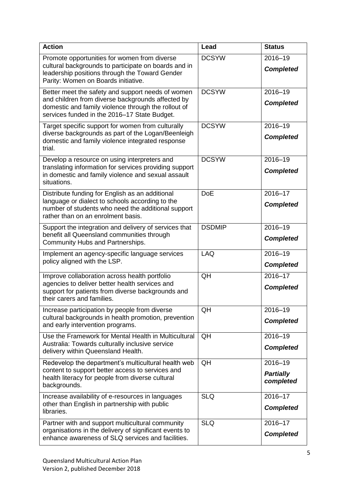| <b>Action</b>                                                                                                                                                                                                 | Lead          | <b>Status</b>                            |
|---------------------------------------------------------------------------------------------------------------------------------------------------------------------------------------------------------------|---------------|------------------------------------------|
| Promote opportunities for women from diverse<br>cultural backgrounds to participate on boards and in<br>leadership positions through the Toward Gender<br>Parity: Women on Boards initiative.                 | <b>DCSYW</b>  | 2016-19<br><b>Completed</b>              |
| Better meet the safety and support needs of women<br>and children from diverse backgrounds affected by<br>domestic and family violence through the rollout of<br>services funded in the 2016-17 State Budget. | <b>DCSYW</b>  | 2016-19<br><b>Completed</b>              |
| Target specific support for women from culturally<br>diverse backgrounds as part of the Logan/Beenleigh<br>domestic and family violence integrated response<br>trial.                                         | <b>DCSYW</b>  | 2016-19<br><b>Completed</b>              |
| Develop a resource on using interpreters and<br>translating information for services providing support<br>in domestic and family violence and sexual assault<br>situations.                                   | <b>DCSYW</b>  | 2016-19<br><b>Completed</b>              |
| Distribute funding for English as an additional<br>language or dialect to schools according to the<br>number of students who need the additional support<br>rather than on an enrolment basis.                | <b>DoE</b>    | 2016-17<br><b>Completed</b>              |
| Support the integration and delivery of services that<br>benefit all Queensland communities through<br>Community Hubs and Partnerships.                                                                       | <b>DSDMIP</b> | 2016-19<br><b>Completed</b>              |
| Implement an agency-specific language services<br>policy aligned with the LSP.                                                                                                                                | <b>LAQ</b>    | 2016-19<br><b>Completed</b>              |
| Improve collaboration across health portfolio<br>agencies to deliver better health services and<br>support for patients from diverse backgrounds and<br>their carers and families.                            | QH            | $2016 - 17$<br><b>Completed</b>          |
| Increase participation by people from diverse<br>cultural backgrounds in health promotion, prevention<br>and early intervention programs.                                                                     | QH            | 2016-19<br><b>Completed</b>              |
| Use the Framework for Mental Health in Multicultural<br>Australia: Towards culturally inclusive service<br>delivery within Queensland Health.                                                                 | QH            | 2016-19<br><b>Completed</b>              |
| Redevelop the department's multicultural health web<br>content to support better access to services and<br>health literacy for people from diverse cultural<br>backgrounds.                                   | QH            | 2016-19<br><b>Partially</b><br>completed |
| Increase availability of e-resources in languages<br>other than English in partnership with public<br>libraries.                                                                                              | <b>SLQ</b>    | 2016-17<br><b>Completed</b>              |
| Partner with and support multicultural community<br>organisations in the delivery of significant events to<br>enhance awareness of SLQ services and facilities.                                               | <b>SLQ</b>    | 2016-17<br><b>Completed</b>              |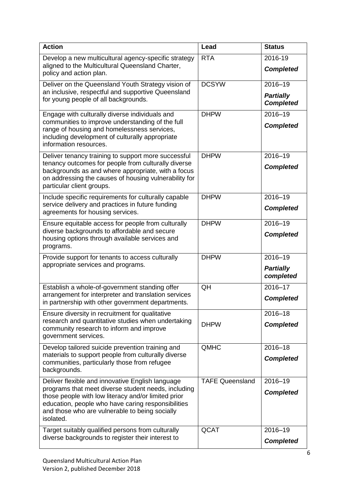| <b>Action</b>                                                                                                                                                                                                                                                                       | Lead                   | <b>Status</b>                                   |
|-------------------------------------------------------------------------------------------------------------------------------------------------------------------------------------------------------------------------------------------------------------------------------------|------------------------|-------------------------------------------------|
| Develop a new multicultural agency-specific strategy<br>aligned to the Multicultural Queensland Charter,<br>policy and action plan.                                                                                                                                                 | <b>RTA</b>             | 2016-19<br><b>Completed</b>                     |
| Deliver on the Queensland Youth Strategy vision of<br>an inclusive, respectful and supportive Queensland<br>for young people of all backgrounds.                                                                                                                                    | <b>DCSYW</b>           | 2016-19<br><b>Partially</b><br><b>Completed</b> |
| Engage with culturally diverse individuals and<br>communities to improve understanding of the full<br>range of housing and homelessness services,<br>including development of culturally appropriate<br>information resources.                                                      | <b>DHPW</b>            | 2016-19<br><b>Completed</b>                     |
| Deliver tenancy training to support more successful<br>tenancy outcomes for people from culturally diverse<br>backgrounds as and where appropriate, with a focus<br>on addressing the causes of housing vulnerability for<br>particular client groups.                              | <b>DHPW</b>            | 2016-19<br><b>Completed</b>                     |
| Include specific requirements for culturally capable<br>service delivery and practices in future funding<br>agreements for housing services.                                                                                                                                        | <b>DHPW</b>            | 2016-19<br><b>Completed</b>                     |
| Ensure equitable access for people from culturally<br>diverse backgrounds to affordable and secure<br>housing options through available services and<br>programs.                                                                                                                   | <b>DHPW</b>            | 2016-19<br><b>Completed</b>                     |
| Provide support for tenants to access culturally<br>appropriate services and programs.                                                                                                                                                                                              | <b>DHPW</b>            | 2016-19<br><b>Partially</b><br>completed        |
| Establish a whole-of-government standing offer<br>arrangement for interpreter and translation services<br>in partnership with other government departments.                                                                                                                         | QH                     | 2016-17<br><b>Completed</b>                     |
| Ensure diversity in recruitment for qualitative<br>research and quantitative studies when undertaking<br>community research to inform and improve<br>government services.                                                                                                           | <b>DHPW</b>            | 2016-18<br><b>Completed</b>                     |
| Develop tailored suicide prevention training and<br>materials to support people from culturally diverse<br>communities, particularly those from refugee<br>backgrounds.                                                                                                             | <b>QMHC</b>            | 2016-18<br><b>Completed</b>                     |
| Deliver flexible and innovative English language<br>programs that meet diverse student needs, including<br>those people with low literacy and/or limited prior<br>education, people who have caring responsibilities<br>and those who are vulnerable to being socially<br>isolated. | <b>TAFE Queensland</b> | 2016-19<br><b>Completed</b>                     |
| Target suitably qualified persons from culturally<br>diverse backgrounds to register their interest to                                                                                                                                                                              | QCAT                   | 2016-19<br><b>Completed</b>                     |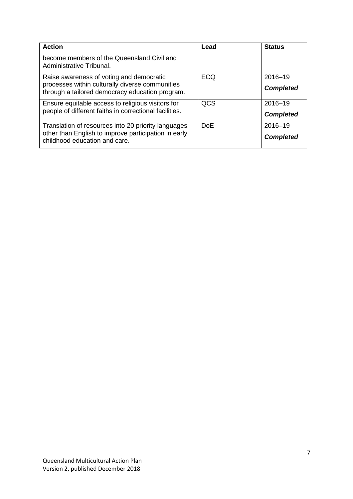| <b>Action</b>                                                                                      | Lead       | <b>Status</b>    |
|----------------------------------------------------------------------------------------------------|------------|------------------|
| become members of the Queensland Civil and<br>Administrative Tribunal.                             |            |                  |
| Raise awareness of voting and democratic                                                           | <b>ECQ</b> | 2016-19          |
| processes within culturally diverse communities<br>through a tailored democracy education program. |            | <b>Completed</b> |
| Ensure equitable access to religious visitors for                                                  | QCS        | 2016-19          |
| people of different faiths in correctional facilities.                                             |            | <b>Completed</b> |
| Translation of resources into 20 priority languages                                                | <b>DoF</b> | 2016-19          |
| other than English to improve participation in early<br>childhood education and care.              |            | <b>Completed</b> |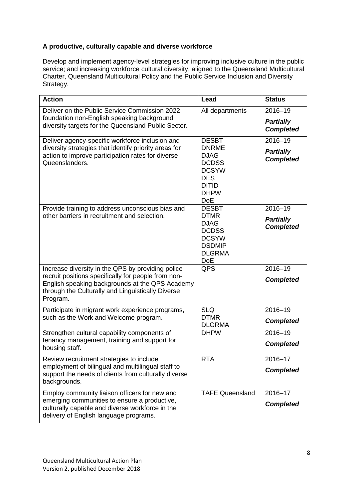#### **A productive, culturally capable and diverse workforce**

Develop and implement agency-level strategies for improving inclusive culture in the public service; and increasing workforce cultural diversity, aligned to the Queensland Multicultural Charter, Queensland Multicultural Policy and the Public Service Inclusion and Diversity Strategy.

| <b>Action</b>                                                                                                                                                                                                                | Lead                                                                                                                                   | <b>Status</b>                                   |
|------------------------------------------------------------------------------------------------------------------------------------------------------------------------------------------------------------------------------|----------------------------------------------------------------------------------------------------------------------------------------|-------------------------------------------------|
| Deliver on the Public Service Commission 2022<br>foundation non-English speaking background<br>diversity targets for the Queensland Public Sector.                                                                           | All departments                                                                                                                        | 2016-19<br><b>Partially</b><br><b>Completed</b> |
| Deliver agency-specific workforce inclusion and<br>diversity strategies that identify priority areas for<br>action to improve participation rates for diverse<br>Queenslanders.                                              | <b>DESBT</b><br><b>DNRME</b><br><b>DJAG</b><br><b>DCDSS</b><br><b>DCSYW</b><br><b>DES</b><br><b>DITID</b><br><b>DHPW</b><br><b>DoE</b> | 2016-19<br><b>Partially</b><br><b>Completed</b> |
| Provide training to address unconscious bias and<br>other barriers in recruitment and selection.                                                                                                                             | <b>DESBT</b><br><b>DTMR</b><br><b>DJAG</b><br><b>DCDSS</b><br><b>DCSYW</b><br><b>DSDMIP</b><br><b>DLGRMA</b><br><b>DoE</b>             | 2016-19<br><b>Partially</b><br><b>Completed</b> |
| Increase diversity in the QPS by providing police<br>recruit positions specifically for people from non-<br>English speaking backgrounds at the QPS Academy<br>through the Culturally and Linguistically Diverse<br>Program. | QPS                                                                                                                                    | 2016-19<br><b>Completed</b>                     |
| Participate in migrant work experience programs,<br>such as the Work and Welcome program.                                                                                                                                    | <b>SLQ</b><br><b>DTMR</b><br><b>DLGRMA</b>                                                                                             | $2016 - 19$<br><b>Completed</b>                 |
| Strengthen cultural capability components of<br>tenancy management, training and support for<br>housing staff.                                                                                                               | <b>DHPW</b>                                                                                                                            | 2016-19<br><b>Completed</b>                     |
| Review recruitment strategies to include<br>employment of bilingual and multilingual staff to<br>support the needs of clients from culturally diverse<br>backgrounds.                                                        | <b>RTA</b>                                                                                                                             | 2016-17<br><b>Completed</b>                     |
| Employ community liaison officers for new and<br>emerging communities to ensure a productive,<br>culturally capable and diverse workforce in the<br>delivery of English language programs.                                   | <b>TAFE Queensland</b>                                                                                                                 | 2016-17<br><b>Completed</b>                     |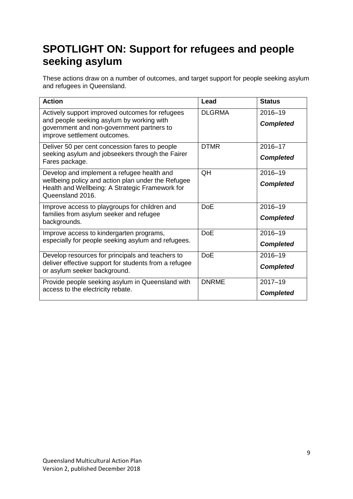# **SPOTLIGHT ON: Support for refugees and people seeking asylum**

These actions draw on a number of outcomes, and target support for people seeking asylum and refugees in Queensland.

| <b>Action</b>                                                                                                                                                             | Lead          | <b>Status</b>                   |
|---------------------------------------------------------------------------------------------------------------------------------------------------------------------------|---------------|---------------------------------|
| Actively support improved outcomes for refugees<br>and people seeking asylum by working with<br>government and non-government partners to<br>improve settlement outcomes. | <b>DLGRMA</b> | 2016-19<br><b>Completed</b>     |
| Deliver 50 per cent concession fares to people<br>seeking asylum and jobseekers through the Fairer<br>Fares package.                                                      | <b>DTMR</b>   | 2016-17<br><b>Completed</b>     |
| Develop and implement a refugee health and<br>wellbeing policy and action plan under the Refugee<br>Health and Wellbeing: A Strategic Framework for<br>Queensland 2016.   | QH            | 2016-19<br><b>Completed</b>     |
| Improve access to playgroups for children and<br>families from asylum seeker and refugee<br>backgrounds.                                                                  | <b>DoE</b>    | 2016-19<br><b>Completed</b>     |
| Improve access to kindergarten programs,<br>especially for people seeking asylum and refugees.                                                                            | <b>DoE</b>    | 2016-19<br><b>Completed</b>     |
| Develop resources for principals and teachers to<br>deliver effective support for students from a refugee<br>or asylum seeker background.                                 | <b>DoE</b>    | 2016-19<br><b>Completed</b>     |
| Provide people seeking asylum in Queensland with<br>access to the electricity rebate.                                                                                     | <b>DNRME</b>  | $2017 - 19$<br><b>Completed</b> |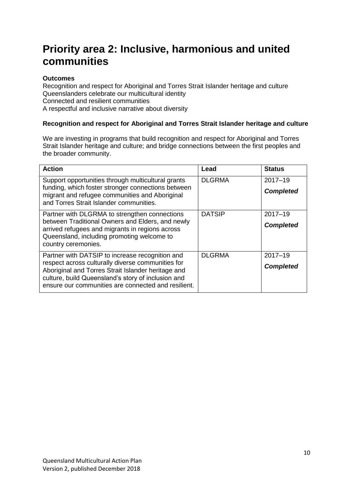### **Priority area 2: Inclusive, harmonious and united communities**

#### **Outcomes**

Recognition and respect for Aboriginal and Torres Strait Islander heritage and culture Queenslanders celebrate our multicultural identity Connected and resilient communities A respectful and inclusive narrative about diversity

#### **Recognition and respect for Aboriginal and Torres Strait Islander heritage and culture**

We are investing in programs that build recognition and respect for Aboriginal and Torres Strait Islander heritage and culture; and bridge connections between the first peoples and the broader community.

| <b>Action</b>                                                                                                                                                                                                                                                           | Lead          | <b>Status</b>                   |
|-------------------------------------------------------------------------------------------------------------------------------------------------------------------------------------------------------------------------------------------------------------------------|---------------|---------------------------------|
| Support opportunities through multicultural grants<br>funding, which foster stronger connections between<br>migrant and refugee communities and Aboriginal<br>and Torres Strait Islander communities.                                                                   | <b>DLGRMA</b> | $2017 - 19$<br><b>Completed</b> |
| Partner with DLGRMA to strengthen connections<br>between Traditional Owners and Elders, and newly<br>arrived refugees and migrants in regions across<br>Queensland, including promoting welcome to<br>country ceremonies.                                               | <b>DATSIP</b> | $2017 - 19$<br><b>Completed</b> |
| Partner with DATSIP to increase recognition and<br>respect across culturally diverse communities for<br>Aboriginal and Torres Strait Islander heritage and<br>culture, build Queensland's story of inclusion and<br>ensure our communities are connected and resilient. | <b>DLGRMA</b> | $2017 - 19$<br><b>Completed</b> |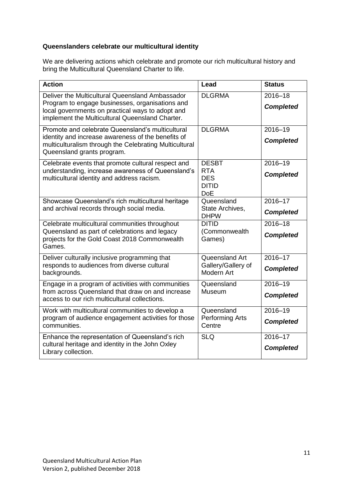#### **Queenslanders celebrate our multicultural identity**

We are delivering actions which celebrate and promote our rich multicultural history and bring the Multicultural Queensland Charter to life.

| <b>Action</b>                                                                                                                                                                                             | Lead                                                                   | <b>Status</b>                   |
|-----------------------------------------------------------------------------------------------------------------------------------------------------------------------------------------------------------|------------------------------------------------------------------------|---------------------------------|
| Deliver the Multicultural Queensland Ambassador<br>Program to engage businesses, organisations and<br>local governments on practical ways to adopt and<br>implement the Multicultural Queensland Charter. | <b>DLGRMA</b>                                                          | 2016-18<br><b>Completed</b>     |
| Promote and celebrate Queensland's multicultural<br>identity and increase awareness of the benefits of<br>multiculturalism through the Celebrating Multicultural<br>Queensland grants program.            | <b>DLGRMA</b>                                                          | 2016-19<br><b>Completed</b>     |
| Celebrate events that promote cultural respect and<br>understanding, increase awareness of Queensland's<br>multicultural identity and address racism.                                                     | <b>DESBT</b><br><b>RTA</b><br><b>DES</b><br><b>DITID</b><br><b>DoE</b> | $2016 - 19$<br><b>Completed</b> |
| Showcase Queensland's rich multicultural heritage<br>and archival records through social media.                                                                                                           | Queensland<br>State Archives,<br><b>DHPW</b>                           | 2016-17<br><b>Completed</b>     |
| Celebrate multicultural communities throughout<br>Queensland as part of celebrations and legacy<br>projects for the Gold Coast 2018 Commonwealth<br>Games.                                                | <b>DITID</b><br>(Commonwealth<br>Games)                                | $2016 - 18$<br><b>Completed</b> |
| Deliver culturally inclusive programming that<br>responds to audiences from diverse cultural<br>backgrounds.                                                                                              | Queensland Art<br>Gallery/Gallery of<br>Modern Art                     | 2016-17<br><b>Completed</b>     |
| Engage in a program of activities with communities<br>from across Queensland that draw on and increase<br>access to our rich multicultural collections.                                                   | Queensland<br>Museum                                                   | 2016-19<br><b>Completed</b>     |
| Work with multicultural communities to develop a<br>program of audience engagement activities for those<br>communities.                                                                                   | Queensland<br><b>Performing Arts</b><br>Centre                         | 2016-19<br><b>Completed</b>     |
| Enhance the representation of Queensland's rich<br>cultural heritage and identity in the John Oxley<br>Library collection.                                                                                | <b>SLQ</b>                                                             | 2016-17<br><b>Completed</b>     |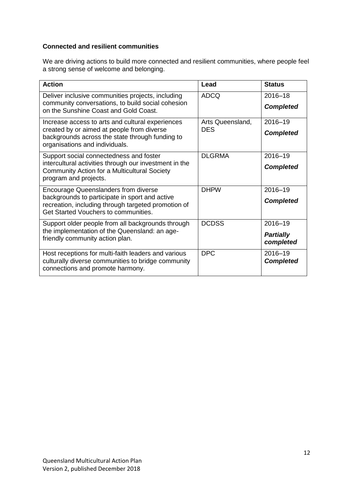#### **Connected and resilient communities**

We are driving actions to build more connected and resilient communities, where people feel a strong sense of welcome and belonging.

| <b>Action</b>                                                                                                                                   | Lead                           | <b>Status</b>                 |
|-------------------------------------------------------------------------------------------------------------------------------------------------|--------------------------------|-------------------------------|
| Deliver inclusive communities projects, including<br>community conversations, to build social cohesion<br>on the Sunshine Coast and Gold Coast. | <b>ADCQ</b>                    | 2016-18<br><b>Completed</b>   |
| Increase access to arts and cultural experiences<br>created by or aimed at people from diverse                                                  | Arts Queensland,<br><b>DES</b> | 2016-19                       |
| backgrounds across the state through funding to<br>organisations and individuals.                                                               |                                | <b>Completed</b>              |
| Support social connectedness and foster<br>intercultural activities through our investment in the                                               | <b>DLGRMA</b>                  | 2016-19                       |
| Community Action for a Multicultural Society<br>program and projects.                                                                           |                                | <b>Completed</b>              |
| <b>Encourage Queenslanders from diverse</b>                                                                                                     | <b>DHPW</b>                    | 2016-19                       |
| backgrounds to participate in sport and active<br>recreation, including through targeted promotion of<br>Get Started Vouchers to communities.   |                                | <b>Completed</b>              |
| Support older people from all backgrounds through                                                                                               | <b>DCDSS</b>                   | 2016-19                       |
| the implementation of the Queensland: an age-<br>friendly community action plan.                                                                |                                | <b>Partially</b><br>completed |
| Host receptions for multi-faith leaders and various<br>culturally diverse communities to bridge community<br>connections and promote harmony.   | <b>DPC</b>                     | 2016-19<br><b>Completed</b>   |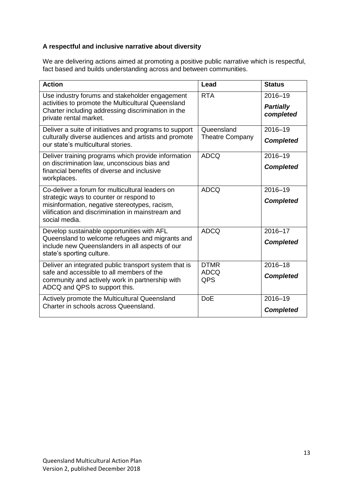#### **A respectful and inclusive narrative about diversity**

We are delivering actions aimed at promoting a positive public narrative which is respectful, fact based and builds understanding across and between communities.

| <b>Action</b>                                                                                                                                                                                                     | Lead                                 | <b>Status</b>                            |
|-------------------------------------------------------------------------------------------------------------------------------------------------------------------------------------------------------------------|--------------------------------------|------------------------------------------|
| Use industry forums and stakeholder engagement<br>activities to promote the Multicultural Queensland<br>Charter including addressing discrimination in the<br>private rental market.                              | <b>RTA</b>                           | 2016-19<br><b>Partially</b><br>completed |
| Deliver a suite of initiatives and programs to support<br>culturally diverse audiences and artists and promote<br>our state's multicultural stories.                                                              | Queensland<br><b>Theatre Company</b> | 2016-19<br><b>Completed</b>              |
| Deliver training programs which provide information<br>on discrimination law, unconscious bias and<br>financial benefits of diverse and inclusive<br>workplaces.                                                  | <b>ADCQ</b>                          | 2016-19<br><b>Completed</b>              |
| Co-deliver a forum for multicultural leaders on<br>strategic ways to counter or respond to<br>misinformation, negative stereotypes, racism,<br>vilification and discrimination in mainstream and<br>social media. | <b>ADCQ</b>                          | 2016-19<br><b>Completed</b>              |
| Develop sustainable opportunities with AFL<br>Queensland to welcome refugees and migrants and<br>include new Queenslanders in all aspects of our<br>state's sporting culture.                                     | <b>ADCQ</b>                          | 2016-17<br><b>Completed</b>              |
| Deliver an integrated public transport system that is<br>safe and accessible to all members of the<br>community and actively work in partnership with<br>ADCQ and QPS to support this.                            | <b>DTMR</b><br><b>ADCQ</b><br>QPS    | $2016 - 18$<br><b>Completed</b>          |
| Actively promote the Multicultural Queensland<br>Charter in schools across Queensland.                                                                                                                            | <b>DoE</b>                           | 2016-19<br><b>Completed</b>              |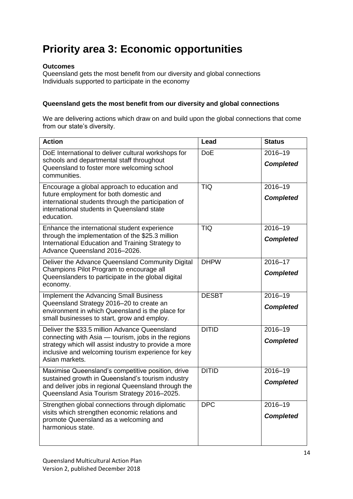# **Priority area 3: Economic opportunities**

#### **Outcomes**

Queensland gets the most benefit from our diversity and global connections Individuals supported to participate in the economy

#### **Queensland gets the most benefit from our diversity and global connections**

We are delivering actions which draw on and build upon the global connections that come from our state's diversity.

| <b>Action</b>                                                                                                                                                                                                                         | Lead         | <b>Status</b>               |
|---------------------------------------------------------------------------------------------------------------------------------------------------------------------------------------------------------------------------------------|--------------|-----------------------------|
| DoE International to deliver cultural workshops for<br>schools and departmental staff throughout<br>Queensland to foster more welcoming school<br>communities.                                                                        | <b>DoE</b>   | 2016-19<br><b>Completed</b> |
| Encourage a global approach to education and<br>future employment for both domestic and<br>international students through the participation of<br>international students in Queensland state<br>education.                            | <b>TIQ</b>   | 2016-19<br><b>Completed</b> |
| Enhance the international student experience<br>through the implementation of the \$25.3 million<br>International Education and Training Strategy to<br>Advance Queensland 2016-2026.                                                 | <b>TIQ</b>   | 2016-19<br><b>Completed</b> |
| Deliver the Advance Queensland Community Digital<br>Champions Pilot Program to encourage all<br>Queenslanders to participate in the global digital<br>economy.                                                                        | <b>DHPW</b>  | 2016-17<br><b>Completed</b> |
| <b>Implement the Advancing Small Business</b><br>Queensland Strategy 2016-20 to create an<br>environment in which Queensland is the place for<br>small businesses to start, grow and employ.                                          | <b>DESBT</b> | 2016-19<br><b>Completed</b> |
| Deliver the \$33.5 million Advance Queensland<br>connecting with Asia - tourism, jobs in the regions<br>strategy which will assist industry to provide a more<br>inclusive and welcoming tourism experience for key<br>Asian markets. | <b>DITID</b> | 2016-19<br><b>Completed</b> |
| Maximise Queensland's competitive position, drive<br>sustained growth in Queensland's tourism industry<br>and deliver jobs in regional Queensland through the<br>Queensland Asia Tourism Strategy 2016-2025.                          | <b>DITID</b> | 2016-19<br><b>Completed</b> |
| Strengthen global connections through diplomatic<br>visits which strengthen economic relations and<br>promote Queensland as a welcoming and<br>harmonious state.                                                                      | <b>DPC</b>   | 2016-19<br><b>Completed</b> |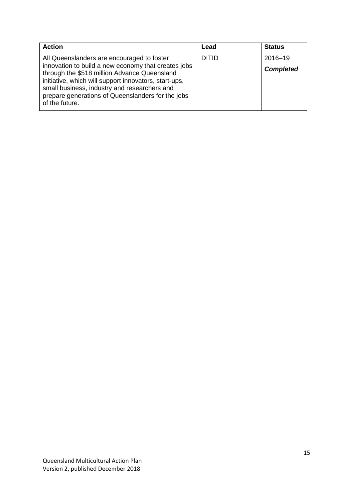| <b>Action</b>                                                                                                                                                                                                                | Lead         | <b>Status</b>    |
|------------------------------------------------------------------------------------------------------------------------------------------------------------------------------------------------------------------------------|--------------|------------------|
| All Queenslanders are encouraged to foster<br>innovation to build a new economy that creates jobs                                                                                                                            | <b>DITID</b> | 2016-19          |
| through the \$518 million Advance Queensland<br>initiative, which will support innovators, start-ups,<br>small business, industry and researchers and<br>prepare generations of Queenslanders for the jobs<br>of the future. |              | <b>Completed</b> |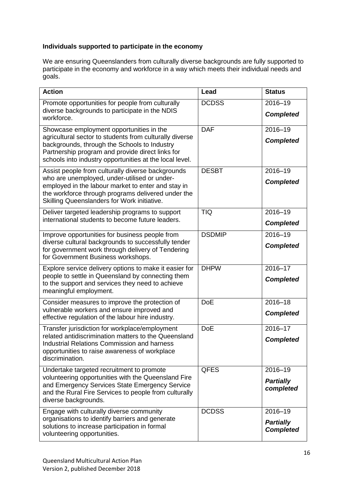#### **Individuals supported to participate in the economy**

We are ensuring Queenslanders from culturally diverse backgrounds are fully supported to participate in the economy and workforce in a way which meets their individual needs and .<br>goals.

| <b>Action</b>                                                                                                                                                                                                                                                      | Lead          | <b>Status</b>                                   |
|--------------------------------------------------------------------------------------------------------------------------------------------------------------------------------------------------------------------------------------------------------------------|---------------|-------------------------------------------------|
| Promote opportunities for people from culturally<br>diverse backgrounds to participate in the NDIS<br>workforce.                                                                                                                                                   | <b>DCDSS</b>  | 2016-19<br><b>Completed</b>                     |
| Showcase employment opportunities in the<br>agricultural sector to students from culturally diverse<br>backgrounds, through the Schools to Industry<br>Partnership program and provide direct links for<br>schools into industry opportunities at the local level. | <b>DAF</b>    | 2016-19<br><b>Completed</b>                     |
| Assist people from culturally diverse backgrounds<br>who are unemployed, under-utilised or under-<br>employed in the labour market to enter and stay in<br>the workforce through programs delivered under the<br>Skilling Queenslanders for Work initiative.       | <b>DESBT</b>  | 2016-19<br><b>Completed</b>                     |
| Deliver targeted leadership programs to support<br>international students to become future leaders.                                                                                                                                                                | <b>TIQ</b>    | $2016 - 19$<br><b>Completed</b>                 |
| Improve opportunities for business people from<br>diverse cultural backgrounds to successfully tender<br>for government work through delivery of Tendering<br>for Government Business workshops.                                                                   | <b>DSDMIP</b> | 2016-19<br><b>Completed</b>                     |
| Explore service delivery options to make it easier for<br>people to settle in Queensland by connecting them<br>to the support and services they need to achieve<br>meaningful employment.                                                                          | <b>DHPW</b>   | 2016-17<br><b>Completed</b>                     |
| Consider measures to improve the protection of<br>vulnerable workers and ensure improved and<br>effective regulation of the labour hire industry.                                                                                                                  | <b>DoE</b>    | 2016-18<br><b>Completed</b>                     |
| Transfer jurisdiction for workplace/employment<br>related antidiscrimination matters to the Queensland<br><b>Industrial Relations Commission and harness</b><br>opportunities to raise awareness of workplace<br>discrimination.                                   | <b>DoE</b>    | 2016-17<br><b>Completed</b>                     |
| Undertake targeted recruitment to promote<br>volunteering opportunities with the Queensland Fire<br>and Emergency Services State Emergency Service<br>and the Rural Fire Services to people from culturally<br>diverse backgrounds.                                | <b>QFES</b>   | 2016-19<br><b>Partially</b><br>completed        |
| Engage with culturally diverse community<br>organisations to identify barriers and generate<br>solutions to increase participation in formal<br>volunteering opportunities.                                                                                        | <b>DCDSS</b>  | 2016-19<br><b>Partially</b><br><b>Completed</b> |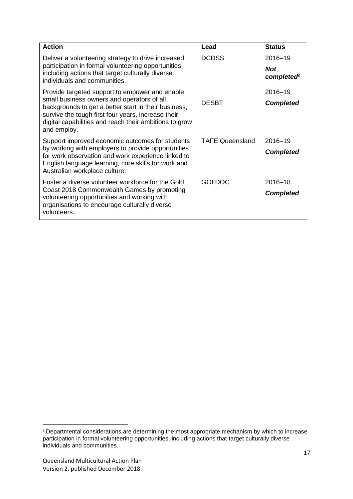| <b>Action</b>                                                                                                                                                                                                                                                                       | Lead                   | <b>Status</b>                      |
|-------------------------------------------------------------------------------------------------------------------------------------------------------------------------------------------------------------------------------------------------------------------------------------|------------------------|------------------------------------|
| Deliver a volunteering strategy to drive increased<br>participation in formal volunteering opportunities,<br>including actions that target culturally diverse<br>individuals and communities.                                                                                       | <b>DCDSS</b>           | 2016-19<br><b>Not</b><br>completed |
| Provide targeted support to empower and enable<br>small business owners and operators of all<br>backgrounds to get a better start in their business,<br>survive the tough first four years, increase their<br>digital capabilities and reach their ambitions to grow<br>and employ. | <b>DESBT</b>           | 2016-19<br><b>Completed</b>        |
| Support improved economic outcomes for students<br>by working with employers to provide opportunities<br>for work observation and work experience linked to<br>English language learning, core skills for work and<br>Australian workplace culture.                                 | <b>TAFE Queensland</b> | 2016-19<br><b>Completed</b>        |
| Foster a diverse volunteer workforce for the Gold<br>Coast 2018 Commonwealth Games by promoting<br>volunteering opportunities and working with<br>organisations to encourage culturally diverse<br>volunteers.                                                                      | <b>GOLDOC</b>          | 2016-18<br><b>Completed</b>        |

**.** 

 $2$  Departmental considerations are determining the most appropriate mechanism by which to increase participation in formal volunteering opportunities, including actions that target culturally diverse individuals and communities.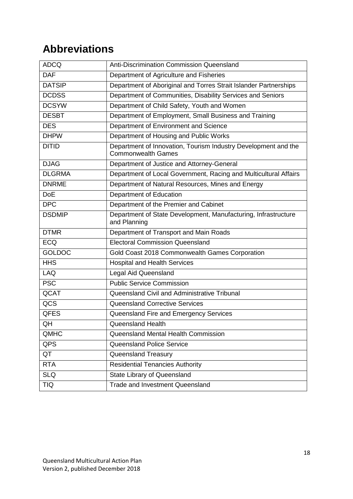# **Abbreviations**

| <b>ADCQ</b>   | Anti-Discrimination Commission Queensland                                                   |
|---------------|---------------------------------------------------------------------------------------------|
| <b>DAF</b>    | Department of Agriculture and Fisheries                                                     |
| <b>DATSIP</b> | Department of Aboriginal and Torres Strait Islander Partnerships                            |
| <b>DCDSS</b>  | Department of Communities, Disability Services and Seniors                                  |
| <b>DCSYW</b>  | Department of Child Safety, Youth and Women                                                 |
| <b>DESBT</b>  | Department of Employment, Small Business and Training                                       |
| <b>DES</b>    | Department of Environment and Science                                                       |
| <b>DHPW</b>   | Department of Housing and Public Works                                                      |
| <b>DITID</b>  | Department of Innovation, Tourism Industry Development and the<br><b>Commonwealth Games</b> |
| <b>DJAG</b>   | Department of Justice and Attorney-General                                                  |
| <b>DLGRMA</b> | Department of Local Government, Racing and Multicultural Affairs                            |
| <b>DNRME</b>  | Department of Natural Resources, Mines and Energy                                           |
| <b>DoE</b>    | Department of Education                                                                     |
| DPC           | Department of the Premier and Cabinet                                                       |
| <b>DSDMIP</b> | Department of State Development, Manufacturing, Infrastructure<br>and Planning              |
| <b>DTMR</b>   | Department of Transport and Main Roads                                                      |
| <b>ECQ</b>    | <b>Electoral Commission Queensland</b>                                                      |
| <b>GOLDOC</b> | Gold Coast 2018 Commonwealth Games Corporation                                              |
| <b>HHS</b>    | <b>Hospital and Health Services</b>                                                         |
| <b>LAQ</b>    | <b>Legal Aid Queensland</b>                                                                 |
| <b>PSC</b>    | <b>Public Service Commission</b>                                                            |
| QCAT          | Queensland Civil and Administrative Tribunal                                                |
| QCS           | <b>Queensland Corrective Services</b>                                                       |
| <b>QFES</b>   | Queensland Fire and Emergency Services                                                      |
| QH            | <b>Queensland Health</b>                                                                    |
| QMHC          | Queensland Mental Health Commission                                                         |
| QPS           | <b>Queensland Police Service</b>                                                            |
| QT            | Queensland Treasury                                                                         |
| <b>RTA</b>    | <b>Residential Tenancies Authority</b>                                                      |
| <b>SLQ</b>    | State Library of Queensland                                                                 |
| <b>TIQ</b>    | <b>Trade and Investment Queensland</b>                                                      |